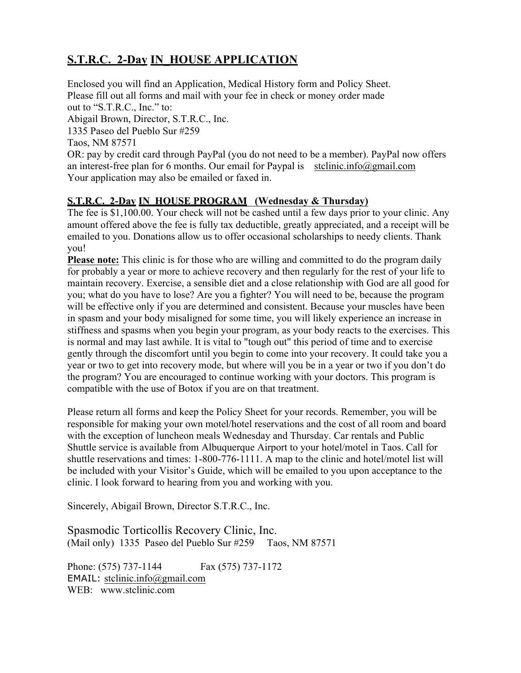## **S.T.R.C. 2-Day IN\_HOUSE APPLICATION**

Enclosed you will find an Application, Medical History form and Policy Sheet. Please fill out all forms and mail with your fee in check or money order made out to "S.T.R.C., Inc." to: Abigail Brown, Director, S.T.R.C., Inc. 1335 Paseo del Pueblo Sur #259 Taos, NM 87571 OR: pay by credit card through PayPal (you do not need to be a member). PayPal now offers an interest-free plan for 6 months. Our email for Paypal is stclinic.info@gmail.com Your application may also be emailed or faxed in.

## **S.T.R.C. 2-Day IN\_HOUSE PROGRAM (Wednesday & Thursday)**

The fee is \$1,100.00. Your check will not be cashed until a few days prior to your clinic. Any amount offered above the fee is fully tax deductible, greatly appreciated, and a receipt will be emailed to you. Donations allow us to offer occasional scholarships to needy clients. Thank you!

**Please note:** This clinic is for those who are willing and committed to do the program daily for probably a year or more to achieve recovery and then regularly for the rest of your life to maintain recovery. Exercise, a sensible diet and a close relationship with God are all good for you; what do you have to lose? Are you a fighter? You will need to be, because the program will be effective only if you are determined and consistent. Because your muscles have been in spasm and your body misaligned for some time, you will likely experience an increase in stiffness and spasms when you begin your program, as your body reacts to the exercises. This is normal and may last awhile. It is vital to "tough out" this period of time and to exercise gently through the discomfort until you begin to come into your recovery. It could take you a year or two to get into recovery mode, but where will you be in a year or two if you don't do the program? You are encouraged to continue working with your doctors. This program is compatible with the use of Botox if you are on that treatment.

Please return all forms and keep the Policy Sheet for your records. Remember, you will be responsible for making your own motel/hotel reservations and the cost of all room and board with the exception of luncheon meals Wednesday and Thursday. Car rentals and Public Shuttle service is available from Albuquerque Airport to your hotel/motel in Taos. Call for shuttle reservations and times: 1-800-776-1111. A map to the clinic and hotel/motel list will be included with your Visitor's Guide, which will be emailed to you upon acceptance to the clinic. I look forward to hearing from you and working with you.

Sincerely, Abigail Brown, Director S.T.R.C., Inc.

Spasmodic Torticollis Recovery Clinic, Inc. (Mail only) 1335 Paseo del Pueblo Sur #259 Taos, NM 87571

Phone: (575) 737-1144 Fax (575) 737-1172 EMAIL: stclinic.info@gmail.com WEB: www.stclinic.com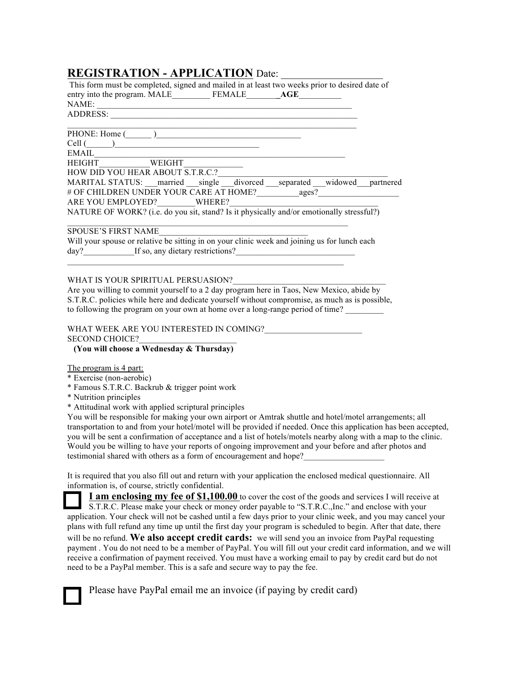### **REGISTRATION - APPLICATION** Date: \_\_\_\_\_\_\_\_\_\_\_\_\_\_\_\_\_\_\_\_

This form must be completed, signed and mailed in at least two weeks prior to desired date of entry into the program. MALE\_\_\_\_\_\_\_\_\_ FEMALE\_\_\_\_\_\_\_**\_AGE\_\_\_\_\_** NAME: \_\_\_\_\_\_\_\_\_\_\_\_\_\_\_\_\_\_\_\_\_\_\_\_\_\_\_\_\_\_\_\_\_\_\_\_\_\_\_\_\_\_\_\_\_\_\_\_\_\_\_\_\_\_\_\_\_\_\_\_ ADDRESS:

| PHONE: Home (                                                                            |  |
|------------------------------------------------------------------------------------------|--|
| Cell (                                                                                   |  |
| EMAIL                                                                                    |  |
| <b>HEIGHT</b><br>WEIGHT                                                                  |  |
| HOW DID YOU HEAR ABOUT S.T.R.C.?                                                         |  |
| MARITAL STATUS: married single divorced separated widowed partnered                      |  |
| # OF CHILDREN UNDER YOUR CARE AT HOME?<br>ages?                                          |  |
| ARE YOU EMPLOYED? WHERE?                                                                 |  |
| NATURE OF WORK? (i.e. do you sit, stand? Is it physically and/or emotionally stressful?) |  |
|                                                                                          |  |

SPOUSE'S FIRST NAME\_\_\_\_\_\_\_\_\_\_\_\_\_\_\_\_\_\_\_\_\_\_\_\_\_\_\_\_\_\_\_\_\_\_\_

Will your spouse or relative be sitting in on your clinic week and joining us for lunch each day? If so, any dietary restrictions?

 $\mathcal{L}_\text{max} = \mathcal{L}_\text{max} = \mathcal{L}_\text{max} = \mathcal{L}_\text{max} = \mathcal{L}_\text{max} = \mathcal{L}_\text{max} = \mathcal{L}_\text{max} = \mathcal{L}_\text{max} = \mathcal{L}_\text{max} = \mathcal{L}_\text{max} = \mathcal{L}_\text{max} = \mathcal{L}_\text{max} = \mathcal{L}_\text{max} = \mathcal{L}_\text{max} = \mathcal{L}_\text{max} = \mathcal{L}_\text{max} = \mathcal{L}_\text{max} = \mathcal{L}_\text{max} = \mathcal{$ 

#### WHAT IS YOUR SPIRITUAL PERSUASION?

Are you willing to commit yourself to a 2 day program here in Taos, New Mexico, abide by S.T.R.C. policies while here and dedicate yourself without compromise, as much as is possible, to following the program on your own at home over a long-range period of time?

### WHAT WEEK ARE YOU INTERESTED IN COMING?

#### SECOND CHOICE?

### **(You will choose a Wednesday & Thursday)**

### The program is 4 part:

\* Exercise (non-aerobic)

- \* Famous S.T.R.C. Backrub & trigger point work
- \* Nutrition principles
- \* Attitudinal work with applied scriptural principles

You will be responsible for making your own airport or Amtrak shuttle and hotel/motel arrangements; all transportation to and from your hotel/motel will be provided if needed. Once this application has been accepted, you will be sent a confirmation of acceptance and a list of hotels/motels nearby along with a map to the clinic. Would you be willing to have your reports of ongoing improvement and your before and after photos and testimonial shared with others as a form of encouragement and hope?

It is required that you also fill out and return with your application the enclosed medical questionnaire. All information is, of course, strictly confidential.

**I am enclosing my fee of \$1,100.00** to cover the cost of the goods and services I will receive at S.T.R.C. Please make your check or money order payable to "S.T.R.C.,Inc." and enclose with your application. Your check will not be cashed until a few days prior to your clinic week, and you may cancel your plans with full refund any time up until the first day your program is scheduled to begin. After that date, there will be no refund. We also accept credit cards: we will send you an invoice from PayPal requesting payment . You do not need to be a member of PayPal. You will fill out your credit card information, and we will receive a confirmation of payment received. You must have a working email to pay by credit card but do not need to be a PayPal member. This is a safe and secure way to pay the fee.

Please have PayPal email me an invoice (if paying by credit card)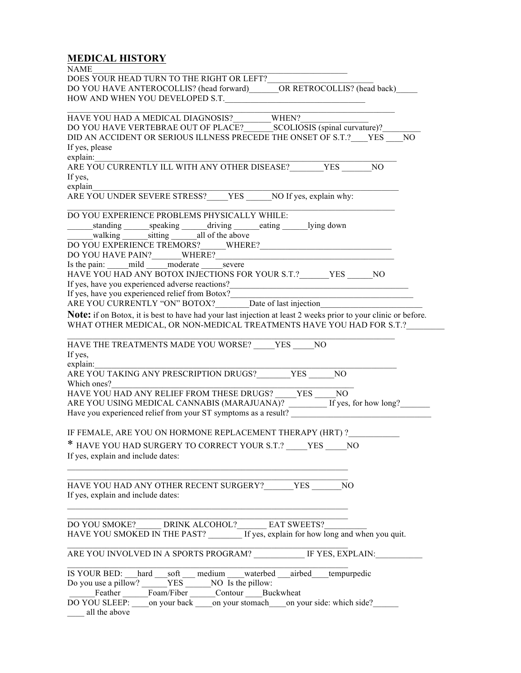# **MEDICAL HISTORY**

| <b>NAME</b>                                                                                                                                                                                                                      |
|----------------------------------------------------------------------------------------------------------------------------------------------------------------------------------------------------------------------------------|
| DOES YOUR HEAD TURN TO THE RIGHT OR LEFT?                                                                                                                                                                                        |
| DO YOU HAVE ANTEROCOLLIS? (head forward) _______OR RETROCOLLIS? (head back)                                                                                                                                                      |
| HOW AND WHEN YOU DEVELOPED S.T.                                                                                                                                                                                                  |
|                                                                                                                                                                                                                                  |
| HAVE YOU HAD A MEDICAL DIAGNOSIS? WHEN?                                                                                                                                                                                          |
| DID AN ACCIDENT OR SERIOUS ILLNESS PRECEDE THE ONSET OF S.T.? YES<br>N <sub>O</sub>                                                                                                                                              |
| If yes, please                                                                                                                                                                                                                   |
| explain:                                                                                                                                                                                                                         |
| ARE YOU CURRENTLY ILL WITH ANY OTHER DISEASE? YES<br>N <sub>O</sub>                                                                                                                                                              |
| If yes,                                                                                                                                                                                                                          |
| explain                                                                                                                                                                                                                          |
| ARE YOU UNDER SEVERE STRESS? YES NO If yes, explain why:                                                                                                                                                                         |
| DO YOU EXPERIENCE PROBLEMS PHYSICALLY WHILE:                                                                                                                                                                                     |
| standing _______ speaking ________ driving ________ eating _______ lying down<br>$\mathcal{L}(\mathcal{L})$                                                                                                                      |
| walking sitting all of the above                                                                                                                                                                                                 |
| DO YOU EXPERIENCE TREMORS? WHERE?                                                                                                                                                                                                |
| DO YOU HAVE PAIN?_____WHERE?_                                                                                                                                                                                                    |
| Is the pain: _____mild _____moderate _______ severe                                                                                                                                                                              |
| HAVE YOU HAD ANY BOTOX INJECTIONS FOR YOUR S.T.? YES NO                                                                                                                                                                          |
| If yes, have you experienced adverse reactions?_________________________________                                                                                                                                                 |
| If yes, have you experienced relief from Botox?<br><u> 1989 - Johann John Stein, markin fan it ferskearre fan it ferskearre fan it ferskearre fan it ferskearre fan </u><br>ARE YOU CURRENTLY "ON" BOTOX? Date of last injection |
|                                                                                                                                                                                                                                  |
| <b>Note:</b> if on Botox, it is best to have had your last injection at least 2 weeks prior to your clinic or before.                                                                                                            |
| WHAT OTHER MEDICAL, OR NON-MEDICAL TREATMENTS HAVE YOU HAD FOR S.T.?                                                                                                                                                             |
| HAVE THE TREATMENTS MADE YOU WORSE? YES<br>NO.                                                                                                                                                                                   |
| If yes,                                                                                                                                                                                                                          |
| explain:                                                                                                                                                                                                                         |
| ARE YOU TAKING ANY PRESCRIPTION DRUGS? YES<br>NO.                                                                                                                                                                                |
| Which ones?                                                                                                                                                                                                                      |
| HAVE YOU HAD ANY RELIEF FROM THESE DRUGS? _____YES _____NO                                                                                                                                                                       |
| ARE YOU USING MEDICAL CANNABIS (MARAJUANA)? _________ If yes, for how long?                                                                                                                                                      |
| Have you experienced relief from your ST symptoms as a result?                                                                                                                                                                   |
| IF FEMALE, ARE YOU ON HORMONE REPLACEMENT THERAPY (HRT) ?                                                                                                                                                                        |
|                                                                                                                                                                                                                                  |
| * HAVE YOU HAD SURGERY TO CORRECT YOUR S.T.? _____YES _____NO                                                                                                                                                                    |
| If yes, explain and include dates:                                                                                                                                                                                               |
|                                                                                                                                                                                                                                  |
| HAVE YOU HAD ANY OTHER RECENT SURGERY?______YES ______NO                                                                                                                                                                         |
| If yes, explain and include dates:                                                                                                                                                                                               |
|                                                                                                                                                                                                                                  |
|                                                                                                                                                                                                                                  |
| DO YOU SMOKE?_______ DRINK ALCOHOL?________ EAT SWEETS?___                                                                                                                                                                       |
| HAVE YOU SMOKED IN THE PAST? _______ If yes, explain for how long and when you quit.                                                                                                                                             |
|                                                                                                                                                                                                                                  |
| ARE YOU INVOLVED IN A SPORTS PROGRAM? IF YES, EXPLAIN:                                                                                                                                                                           |
|                                                                                                                                                                                                                                  |
| IS YOUR BED: hard ___ soft ___ medium ____ waterbed ___ airbed ___ tempurpedic                                                                                                                                                   |
| Do you use a pillow? _____YES _____NO Is the pillow:                                                                                                                                                                             |
| Feather Foam/Fiber Contour Buckwheat                                                                                                                                                                                             |
| DO YOU SLEEP: ______ on your back _______ on your stomach ________ on your side: which side?                                                                                                                                     |

\_\_\_\_ all the above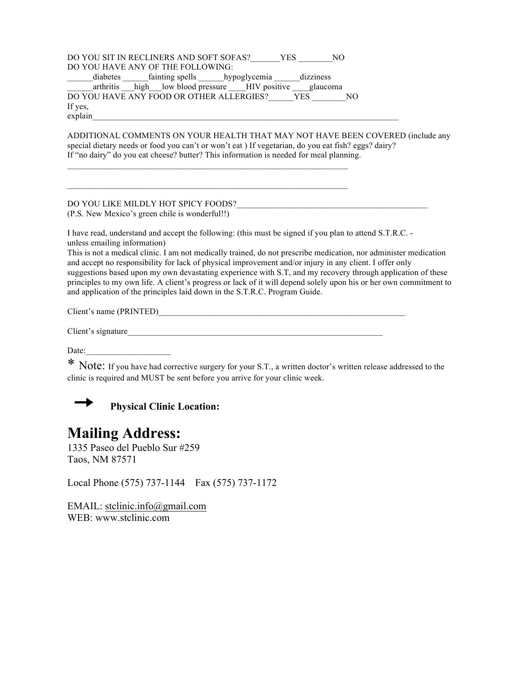| DO YOU SIT IN RECLINERS AND SOFT SOFAS? _______ YES ________ NO<br>DO YOU HAVE ANY OF THE FOLLOWING:<br>diabetes ______fainting spells _______hypoglycemia ______dizziness<br>DO YOU HAVE ANY FOOD OR OTHER ALLERGIES?_____YES _______NO<br>If yes,                                                                                                                                                                                                                                                                                                                                                                                                                                      |  |  |  |  |  |  |
|------------------------------------------------------------------------------------------------------------------------------------------------------------------------------------------------------------------------------------------------------------------------------------------------------------------------------------------------------------------------------------------------------------------------------------------------------------------------------------------------------------------------------------------------------------------------------------------------------------------------------------------------------------------------------------------|--|--|--|--|--|--|
| ADDITIONAL COMMENTS ON YOUR HEALTH THAT MAY NOT HAVE BEEN COVERED (include any<br>special dietary needs or food you can't or won't eat ) If vegetarian, do you eat fish? eggs? dairy?<br>If "no dairy" do you eat cheese? butter? This information is needed for meal planning.                                                                                                                                                                                                                                                                                                                                                                                                          |  |  |  |  |  |  |
| (P.S. New Mexico's green chile is wonderful!!)                                                                                                                                                                                                                                                                                                                                                                                                                                                                                                                                                                                                                                           |  |  |  |  |  |  |
| I have read, understand and accept the following: (this must be signed if you plan to attend S.T.R.C. -<br>unless emailing information)<br>This is not a medical clinic. I am not medically trained, do not prescribe medication, nor administer medication<br>and accept no responsibility for lack of physical improvement and/or injury in any client. I offer only<br>suggestions based upon my own devastating experience with S.T, and my recovery through application of these<br>principles to my own life. A client's progress or lack of it will depend solely upon his or her own commitment to<br>and application of the principles laid down in the S.T.R.C. Program Guide. |  |  |  |  |  |  |
| Client's name (PRINTED)<br><u>Client's</u> name (PRINTED)                                                                                                                                                                                                                                                                                                                                                                                                                                                                                                                                                                                                                                |  |  |  |  |  |  |
|                                                                                                                                                                                                                                                                                                                                                                                                                                                                                                                                                                                                                                                                                          |  |  |  |  |  |  |
| $\text{Date:}\n \begin{tabular}{ c c c } \hline \quad \quad & \quad \quad & \quad \quad \\ \hline \end{tabular}$<br>* Note: If you have had corrective surgery for your S.T., a written doctor's written release addressed to the<br>clinic is required and MUST be sent before you arrive for your clinic week.                                                                                                                                                                                                                                                                                                                                                                         |  |  |  |  |  |  |



**Physical Clinic Location:**

## **Mailing Address:**

1335 Paseo del Pueblo Sur #259 Taos, NM 87571

Local Phone (575) 737-1144 Fax (575) 737-1172

EMAIL: stclinic.info@gmail.com WEB: www.stclinic.com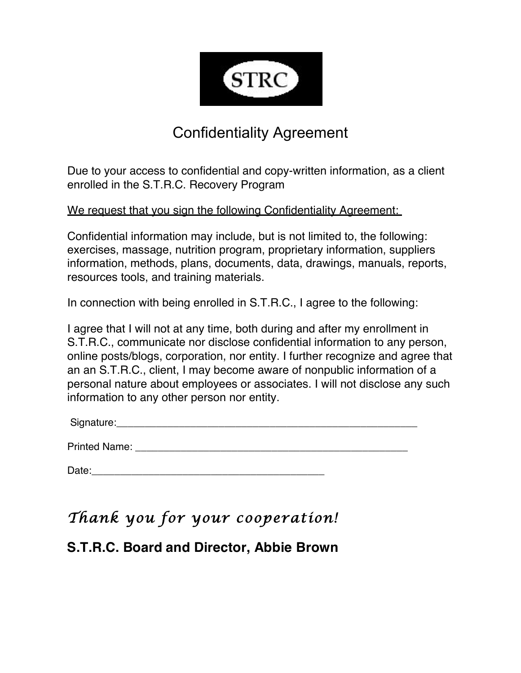

# Confidentiality Agreement

Due to your access to confidential and copy-written information, as a client enrolled in the S.T.R.C. Recovery Program

## We request that you sign the following Confidentiality Agreement:

Confidential information may include, but is not limited to, the following: exercises, massage, nutrition program, proprietary information, suppliers information, methods, plans, documents, data, drawings, manuals, reports, resources tools, and training materials.

In connection with being enrolled in S.T.R.C., I agree to the following:

I agree that I will not at any time, both during and after my enrollment in S.T.R.C., communicate nor disclose confidential information to any person, online posts/blogs, corporation, nor entity. I further recognize and agree that an an S.T.R.C., client, I may become aware of nonpublic information of a personal nature about employees or associates. I will not disclose any such information to any other person nor entity.

Printed Name: **Example 20** Final Asset of the set of the set of the set of the set of the set of the set of the set of the set of the set of the set of the set of the set of the set of the set of the set of the set of the

| Date: |  |  |
|-------|--|--|
|       |  |  |

# *Thank you for your cooperation!*

## **S.T.R.C. Board and Director, Abbie Brown**